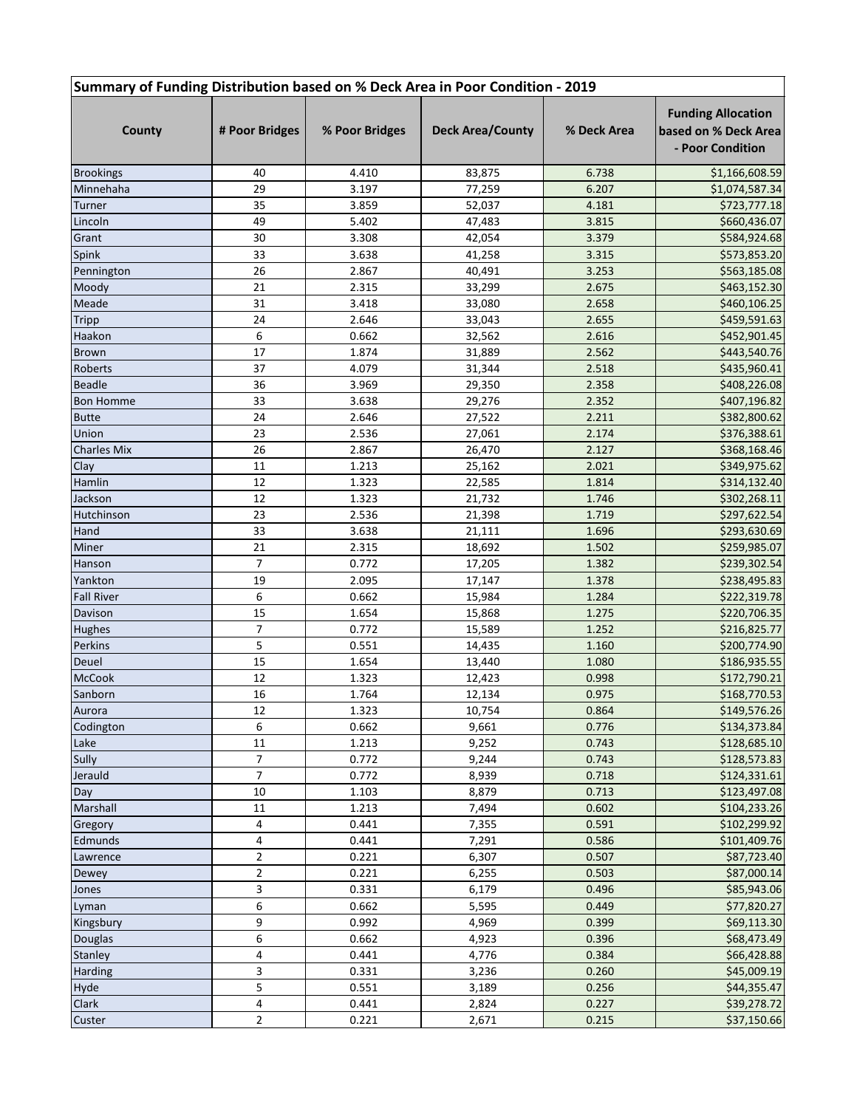## **Summary of Funding Distribution based on % Deck Area in Poor Condition - 2019**

| County             | # Poor Bridges | % Poor Bridges | <b>Deck Area/County</b> | % Deck Area    | <b>Funding Allocation</b><br>based on % Deck Area<br>- Poor Condition |
|--------------------|----------------|----------------|-------------------------|----------------|-----------------------------------------------------------------------|
| <b>Brookings</b>   | 40             | 4.410          | 83,875                  | 6.738          | \$1,166,608.59                                                        |
| Minnehaha          | 29             | 3.197          | 77,259                  | 6.207          | \$1,074,587.34                                                        |
| Turner             | 35             | 3.859          | 52,037                  | 4.181          | \$723,777.18                                                          |
| Lincoln            | 49             | 5.402          | 47,483                  | 3.815          | \$660,436.07                                                          |
| Grant              | 30             | 3.308          | 42,054                  | 3.379          | \$584,924.68                                                          |
| Spink              | 33             | 3.638          | 41,258                  | 3.315          | \$573,853.20                                                          |
| Pennington         | 26             | 2.867          | 40,491                  | 3.253          | \$563,185.08                                                          |
| Moody              | 21             | 2.315          | 33,299                  | 2.675          | \$463,152.30                                                          |
| Meade              | 31             | 3.418          | 33,080                  | 2.658          | \$460,106.25                                                          |
| <b>Tripp</b>       | 24             | 2.646          | 33,043                  | 2.655          | \$459,591.63                                                          |
| Haakon             | 6              | 0.662          | 32,562                  | 2.616          | \$452,901.45                                                          |
| <b>Brown</b>       | 17             | 1.874          | 31,889                  | 2.562          | \$443,540.76                                                          |
| Roberts            | 37             | 4.079          | 31,344                  | 2.518          | \$435,960.41                                                          |
| <b>Beadle</b>      | 36             | 3.969          | 29,350                  | 2.358          | \$408,226.08                                                          |
| <b>Bon Homme</b>   | 33             | 3.638          | 29,276                  | 2.352          | \$407,196.82                                                          |
| <b>Butte</b>       | 24             | 2.646          | 27,522                  | 2.211          | \$382,800.62                                                          |
| Union              | 23             | 2.536          | 27,061                  | 2.174          | \$376,388.61                                                          |
| <b>Charles Mix</b> | 26             | 2.867          | 26,470                  | 2.127          | \$368,168.46                                                          |
| Clay               | 11             | 1.213          | 25,162                  | 2.021          | \$349,975.62                                                          |
| Hamlin             | 12             | 1.323          | 22,585                  | 1.814          | \$314,132.40                                                          |
| Jackson            | 12             | 1.323          | 21,732                  | 1.746          | \$302,268.11                                                          |
| Hutchinson         | 23             | 2.536          | 21,398                  | 1.719          | \$297,622.54                                                          |
| Hand               | 33             | 3.638          | 21,111                  | 1.696          | \$293,630.69                                                          |
| Miner              | 21             | 2.315          | 18,692                  | 1.502          | \$259,985.07                                                          |
| Hanson             | $\overline{7}$ | 0.772          | 17,205                  | 1.382          | \$239,302.54                                                          |
| Yankton            | 19             | 2.095          | 17,147                  | 1.378          | \$238,495.83                                                          |
| <b>Fall River</b>  | 6              | 0.662          | 15,984                  | 1.284          | \$222,319.78                                                          |
| Davison            | 15             | 1.654          | 15,868                  | 1.275          | \$220,706.35                                                          |
| Hughes             | 7              | 0.772          | 15,589                  | 1.252          | \$216,825.77                                                          |
| Perkins            | 5              | 0.551          | 14,435                  | 1.160          | \$200,774.90                                                          |
| Deuel              | 15             | 1.654          |                         | 1.080          | \$186,935.55                                                          |
| McCook             | 12             | 1.323          | 13,440<br>12,423        | 0.998          | \$172,790.21                                                          |
| Sanborn            | 16             | 1.764          |                         | 0.975          | \$168,770.53                                                          |
|                    | 12             | 1.323          | 12,134                  | 0.864          | \$149,576.26                                                          |
| Aurora             |                |                | 10,754                  |                |                                                                       |
| Codington          | 6              | 0.662          | 9,661                   | 0.776          | \$134,373.84                                                          |
| Lake               | 11<br>7        | 1.213          | 9,252                   | 0.743          | \$128,685.10                                                          |
| Sully              | $\overline{7}$ | 0.772          | 9,244                   | 0.743          | \$128,573.83                                                          |
| Jerauld            | 10             | 0.772          | 8,939<br>8,879          | 0.718<br>0.713 | \$124,331.61<br>\$123,497.08                                          |
| Day<br>Marshall    | 11             | 1.103          |                         |                |                                                                       |
|                    |                | 1.213          | 7,494                   | 0.602          | \$104,233.26                                                          |
| Gregory            | 4              | 0.441          | 7,355                   | 0.591          | \$102,299.92                                                          |
| Edmunds            | 4              | 0.441          | 7,291                   | 0.586          | \$101,409.76                                                          |
| Lawrence           | $\overline{2}$ | 0.221          | 6,307                   | 0.507          | \$87,723.40                                                           |
| Dewey              | $\mathbf 2$    | 0.221          | 6,255                   | 0.503          | \$87,000.14                                                           |
| Jones              | 3              | 0.331          | 6,179                   | 0.496          | \$85,943.06                                                           |
| Lyman              | 6              | 0.662          | 5,595                   | 0.449          | \$77,820.27                                                           |
| Kingsbury          | 9              | 0.992          | 4,969                   | 0.399          | \$69,113.30                                                           |
| Douglas            | 6              | 0.662          | 4,923                   | 0.396          | \$68,473.49                                                           |
| Stanley            | 4              | 0.441          | 4,776                   | 0.384          | \$66,428.88                                                           |
| <b>Harding</b>     | 3              | 0.331          | 3,236                   | 0.260          | \$45,009.19                                                           |
| Hyde               | 5              | 0.551          | 3,189                   | 0.256          | \$44,355.47                                                           |
| Clark              | 4              | 0.441          | 2,824                   | 0.227          | \$39,278.72                                                           |
| Custer             | $\overline{2}$ | 0.221          | 2,671                   | 0.215          | \$37,150.66                                                           |